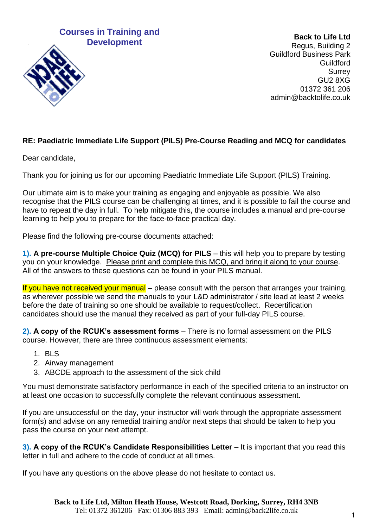### **Courses in Training and Development**



**Back to Life Ltd**  Regus, Building 2 Guildford Business Park Guildford **Surrey** GU2 8XG 01372 361 206 admin@backtolife.co.uk

### **RE: Paediatric Immediate Life Support (PILS) Pre-Course Reading and MCQ for candidates**

Dear candidate,

Thank you for joining us for our upcoming Paediatric Immediate Life Support (PILS) Training.

Our ultimate aim is to make your training as engaging and enjoyable as possible. We also recognise that the PILS course can be challenging at times, and it is possible to fail the course and have to repeat the day in full. To help mitigate this, the course includes a manual and pre-course learning to help you to prepare for the face-to-face practical day.

Please find the following pre-course documents attached:

**1). A pre-course Multiple Choice Quiz (MCQ) for PILS** – this will help you to prepare by testing you on your knowledge. Please print and complete this MCQ, and bring it along to your course. All of the answers to these questions can be found in your PILS manual.

If you have not received your manual  $-$  please consult with the person that arranges your training, as wherever possible we send the manuals to your L&D administrator / site lead at least 2 weeks before the date of training so one should be available to request/collect. Recertification candidates should use the manual they received as part of your full-day PILS course.

**2). A copy of the RCUK's assessment forms** – There is no formal assessment on the PILS course. However, there are three continuous assessment elements:

- 1. BLS
- 2. Airway management
- 3. ABCDE approach to the assessment of the sick child

You must demonstrate satisfactory performance in each of the specified criteria to an instructor on at least one occasion to successfully complete the relevant continuous assessment.

If you are unsuccessful on the day, your instructor will work through the appropriate assessment form(s) and advise on any remedial training and/or next steps that should be taken to help you pass the course on your next attempt.

**3). A copy of the RCUK's Candidate Responsibilities Letter** – It is important that you read this letter in full and adhere to the code of conduct at all times.

If you have any questions on the above please do not hesitate to contact us.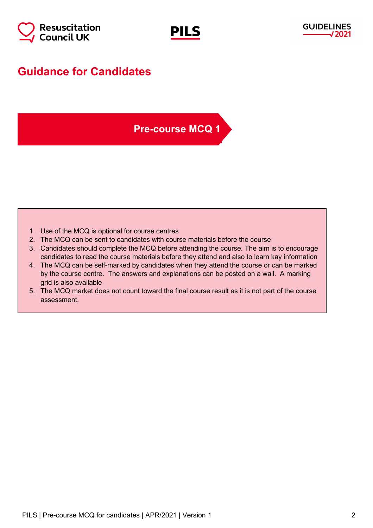



## **Guidance for Candidates**

### **Pre-course MCQ 1**

- 1. Use of the MCQ is optional for course centres
- 2. The MCQ can be sent to candidates with course materials before the course
- 3. Candidates should complete the MCQ before attending the course. The aim is to encourage candidates to read the course materials before they attend and also to learn kay information
- 4. The MCQ can be self-marked by candidates when they attend the course or can be marked by the course centre. The answers and explanations can be posted on a wall. A marking grid is also available
- 5. The MCQ market does not count toward the final course result as it is not part of the course assessment.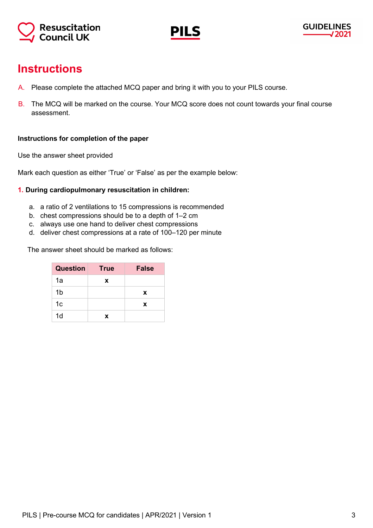



## **Instructions**

- A. Please complete the attached MCQ paper and bring it with you to your PILS course.
- B. The MCQ will be marked on the course. Your MCQ score does not count towards your final course assessment.

#### **Instructions for completion of the paper**

Use the answer sheet provided

Mark each question as either 'True' or 'False' as per the example below:

#### **1. During cardiopulmonary resuscitation in children:**

- a. a ratio of 2 ventilations to 15 compressions is recommended
- b. chest compressions should be to a depth of 1–2 cm
- c. always use one hand to deliver chest compressions
- d. deliver chest compressions at a rate of 100–120 per minute

The answer sheet should be marked as follows:

| <b>Question</b> | <b>True</b> | <b>False</b> |
|-----------------|-------------|--------------|
| 1a              | x           |              |
| 1b              |             | x            |
| 1c              |             | x            |
| 1 <sub>d</sub>  | x           |              |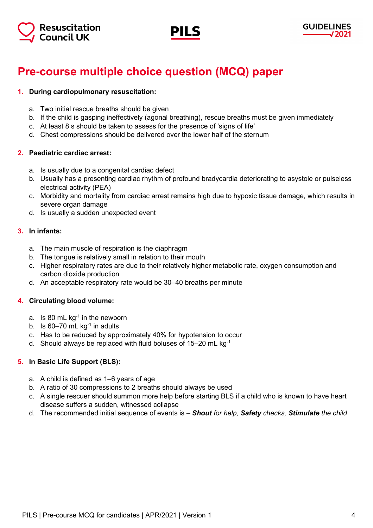



# **Pre-course multiple choice question (MCQ) paper**

#### **1. During cardiopulmonary resuscitation:**

- a. Two initial rescue breaths should be given
- b. If the child is gasping ineffectively (agonal breathing), rescue breaths must be given immediately
- c. At least 8 s should be taken to assess for the presence of 'signs of life'
- d. Chest compressions should be delivered over the lower half of the sternum

#### **2. Paediatric cardiac arrest:**

- a. Is usually due to a congenital cardiac defect
- b. Usually has a presenting cardiac rhythm of profound bradycardia deteriorating to asystole or pulseless electrical activity (PEA)
- c. Morbidity and mortality from cardiac arrest remains high due to hypoxic tissue damage, which results in severe organ damage
- d. Is usually a sudden unexpected event

#### **3. In infants:**

- a. The main muscle of respiration is the diaphragm
- b. The tongue is relatively small in relation to their mouth
- c. Higher respiratory rates are due to their relatively higher metabolic rate, oxygen consumption and carbon dioxide production
- d. An acceptable respiratory rate would be 30–40 breaths per minute

#### **4. Circulating blood volume:**

- a. Is 80 mL  $kg<sup>-1</sup>$  in the newborn
- b. Is  $60-70$  mL kg<sup>-1</sup> in adults
- c. Has to be reduced by approximately 40% for hypotension to occur
- d. Should always be replaced with fluid boluses of 15–20 mL kg-1

#### **5. In Basic Life Support (BLS):**

- a. A child is defined as 1–6 years of age
- b. A ratio of 30 compressions to 2 breaths should always be used
- c. A single rescuer should summon more help before starting BLS if a child who is known to have heart disease suffers a sudden, witnessed collapse
- d. The recommended initial sequence of events is *Shout for help, Safety checks, Stimulate the child*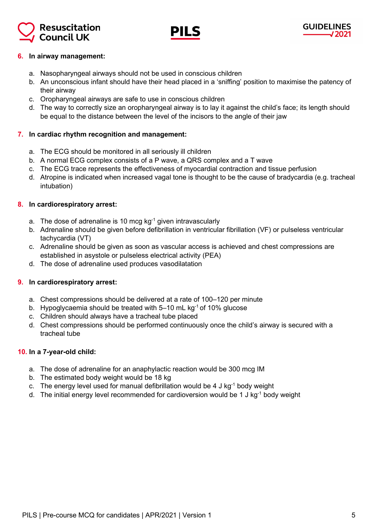



#### **6. In airway management:**

- a. Nasopharyngeal airways should not be used in conscious children
- b. An unconscious infant should have their head placed in a 'sniffing' position to maximise the patency of their airway
- c. Oropharyngeal airways are safe to use in conscious children
- d. The way to correctly size an oropharyngeal airway is to lay it against the child's face; its length should be equal to the distance between the level of the incisors to the angle of their jaw

#### **7. In cardiac rhythm recognition and management:**

- a. The ECG should be monitored in all seriously ill children
- b. A normal ECG complex consists of a P wave, a QRS complex and a T wave
- c. The ECG trace represents the effectiveness of myocardial contraction and tissue perfusion
- d. Atropine is indicated when increased vagal tone is thought to be the cause of bradycardia (e.g. tracheal intubation)

#### **8. In cardiorespiratory arrest:**

- a. The dose of adrenaline is 10 mcg  $kg^{-1}$  given intravascularly
- b. Adrenaline should be given before defibrillation in ventricular fibrillation (VF) or pulseless ventricular tachycardia (VT)
- c. Adrenaline should be given as soon as vascular access is achieved and chest compressions are established in asystole or pulseless electrical activity (PEA)
- d. The dose of adrenaline used produces vasodilatation

#### **9. In cardiorespiratory arrest:**

- a. Chest compressions should be delivered at a rate of 100–120 per minute
- b. Hypoglycaemia should be treated with  $5-10$  mL kg<sup>-1</sup> of 10% glucose
- c. Children should always have a tracheal tube placed
- d. Chest compressions should be performed continuously once the child's airway is secured with a tracheal tube

#### **10. In a 7-year-old child:**

- a. The dose of adrenaline for an anaphylactic reaction would be 300 mcg IM
- b. The estimated body weight would be 18 kg
- c. The energy level used for manual defibrillation would be 4 J kg<sup>-1</sup> body weight
- d. The initial energy level recommended for cardioversion would be 1 J kg<sup>-1</sup> body weight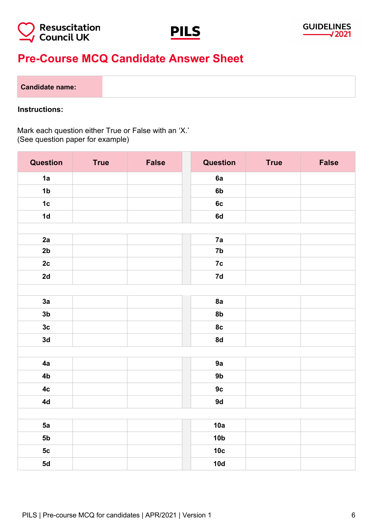



## **Pre-Course MCQ Candidate Answer Sheet**

#### **Candidate name:**

#### **Instructions:**

Mark each question either True or False with an 'X.' (See question paper for example)

| <b>Question</b> | <b>True</b> | <b>False</b> | <b>Question</b> | <b>True</b> | <b>False</b> |
|-----------------|-------------|--------------|-----------------|-------------|--------------|
| 1a              |             |              | 6a              |             |              |
| 1 <sub>b</sub>  |             |              | 6b              |             |              |
| 1c              |             |              | 6c              |             |              |
| 1d              |             |              | 6d              |             |              |
|                 |             |              |                 |             |              |
| 2a              |             |              | 7a              |             |              |
| 2b              |             |              | 7 <sub>b</sub>  |             |              |
| 2c              |             |              | 7c              |             |              |
| 2d              |             |              | $7d$            |             |              |
|                 |             |              |                 |             |              |
| 3a              |             |              | 8a              |             |              |
| 3 <sub>b</sub>  |             |              | 8 <sub>b</sub>  |             |              |
| 3c              |             |              | 8c              |             |              |
| 3d              |             |              | 8d              |             |              |
|                 |             |              |                 |             |              |
| 4a              |             |              | 9a              |             |              |
| 4b              |             |              | 9 <sub>b</sub>  |             |              |
| 4c              |             |              | 9c              |             |              |
| 4d              |             |              | 9d              |             |              |
|                 |             |              |                 |             |              |
| 5a              |             |              | 10a             |             |              |
| 5 <sub>b</sub>  |             |              | 10 <sub>b</sub> |             |              |
| 5c              |             |              | 10 <sub>c</sub> |             |              |
| 5d              |             |              | 10d             |             |              |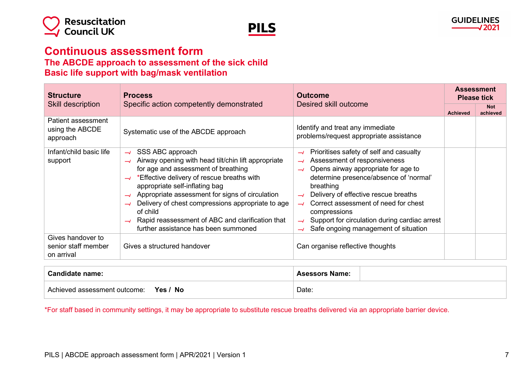



### **Continuous assessment form The ABCDE approach to assessment of the sick child**

### **Basic life support with bag/mask ventilation**

| <b>Structure</b>                                       | <b>Process</b>                                                                                                                                                                                                                                                                                                                                                                                                                                   | <b>Outcome</b>                                                                                                                                                                                                                                                                                                                                                                                                    | <b>Assessment</b><br><b>Please tick</b> |                        |
|--------------------------------------------------------|--------------------------------------------------------------------------------------------------------------------------------------------------------------------------------------------------------------------------------------------------------------------------------------------------------------------------------------------------------------------------------------------------------------------------------------------------|-------------------------------------------------------------------------------------------------------------------------------------------------------------------------------------------------------------------------------------------------------------------------------------------------------------------------------------------------------------------------------------------------------------------|-----------------------------------------|------------------------|
| <b>Skill description</b>                               | Specific action competently demonstrated                                                                                                                                                                                                                                                                                                                                                                                                         | Desired skill outcome                                                                                                                                                                                                                                                                                                                                                                                             | <b>Achieved</b>                         | <b>Not</b><br>achieved |
| Patient assessment<br>using the ABCDE<br>approach      | Systematic use of the ABCDE approach                                                                                                                                                                                                                                                                                                                                                                                                             | Identify and treat any immediate<br>problems/request appropriate assistance                                                                                                                                                                                                                                                                                                                                       |                                         |                        |
| Infant/child basic life<br>support                     | SSS ABC approach<br>$\rightarrow$<br>Airway opening with head tilt/chin lift appropriate<br>for age and assessment of breathing<br>*Effective delivery of rescue breaths with<br>appropriate self-inflating bag<br>Appropriate assessment for signs of circulation<br>Delivery of chest compressions appropriate to age<br>$\rightarrow$<br>of child<br>Rapid reassessment of ABC and clarification that<br>further assistance has been summoned | Prioritises safety of self and casualty<br>$\rightarrow$<br>Assessment of responsiveness<br>$\rightarrow$<br>Opens airway appropriate for age to<br>$\rightarrow$<br>determine presence/absence of 'normal'<br>breathing<br>Delivery of effective rescue breaths<br>Correct assessment of need for chest<br>compressions<br>Support for circulation during cardiac arrest<br>Safe ongoing management of situation |                                         |                        |
| Gives handover to<br>senior staff member<br>on arrival | Gives a structured handover                                                                                                                                                                                                                                                                                                                                                                                                                      | Can organise reflective thoughts                                                                                                                                                                                                                                                                                                                                                                                  |                                         |                        |

| <b>Candidate name:</b>                   | <b>Asessors Name:</b> |
|------------------------------------------|-----------------------|
| Yes / No<br>Achieved assessment outcome: | Date:                 |

\*For staff based in community settings, it may be appropriate to substitute rescue breaths delivered via an appropriate barrier device.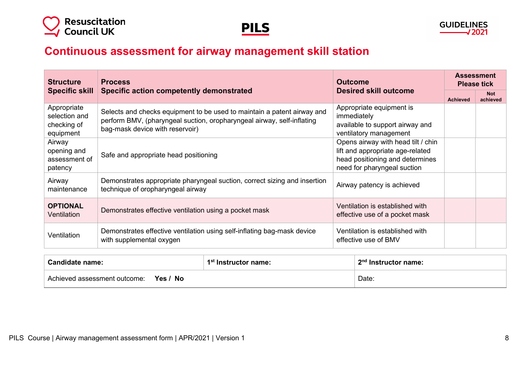



## **Continuous assessment for airway management skill station**

| <b>Structure</b>                                         | <b>Process</b><br>Specific action competently demonstrated                                                                                                                           | <b>Outcome</b>                                                                                                                           | <b>Assessment</b><br><b>Please tick</b> |                        |
|----------------------------------------------------------|--------------------------------------------------------------------------------------------------------------------------------------------------------------------------------------|------------------------------------------------------------------------------------------------------------------------------------------|-----------------------------------------|------------------------|
| <b>Specific skill</b>                                    |                                                                                                                                                                                      | <b>Desired skill outcome</b>                                                                                                             | <b>Achieved</b>                         | <b>Not</b><br>achieved |
| Appropriate<br>selection and<br>checking of<br>equipment | Selects and checks equipment to be used to maintain a patent airway and<br>perform BMV, (pharyngeal suction, oropharyngeal airway, self-inflating<br>bag-mask device with reservoir) | Appropriate equipment is<br>immediately<br>available to support airway and<br>ventilatory management                                     |                                         |                        |
| Airway<br>opening and<br>assessment of<br>patency        | Safe and appropriate head positioning                                                                                                                                                | Opens airway with head tilt / chin<br>lift and appropriate age-related<br>head positioning and determines<br>need for pharyngeal suction |                                         |                        |
| Airway<br>maintenance                                    | Demonstrates appropriate pharyngeal suction, correct sizing and insertion<br>technique of oropharyngeal airway                                                                       | Airway patency is achieved                                                                                                               |                                         |                        |
| <b>OPTIONAL</b><br>Ventilation                           | Demonstrates effective ventilation using a pocket mask                                                                                                                               | Ventilation is established with<br>effective use of a pocket mask                                                                        |                                         |                        |
| Ventilation                                              | Demonstrates effective ventilation using self-inflating bag-mask device<br>with supplemental oxygen                                                                                  | Ventilation is established with<br>effective use of BMV                                                                                  |                                         |                        |

| <b>Candidate name:</b>                   | 1 <sup>st</sup> Instructor name: | 2 <sup>nd</sup> Instructor name: |
|------------------------------------------|----------------------------------|----------------------------------|
| Yes / No<br>Achieved assessment outcome: |                                  | Date:                            |